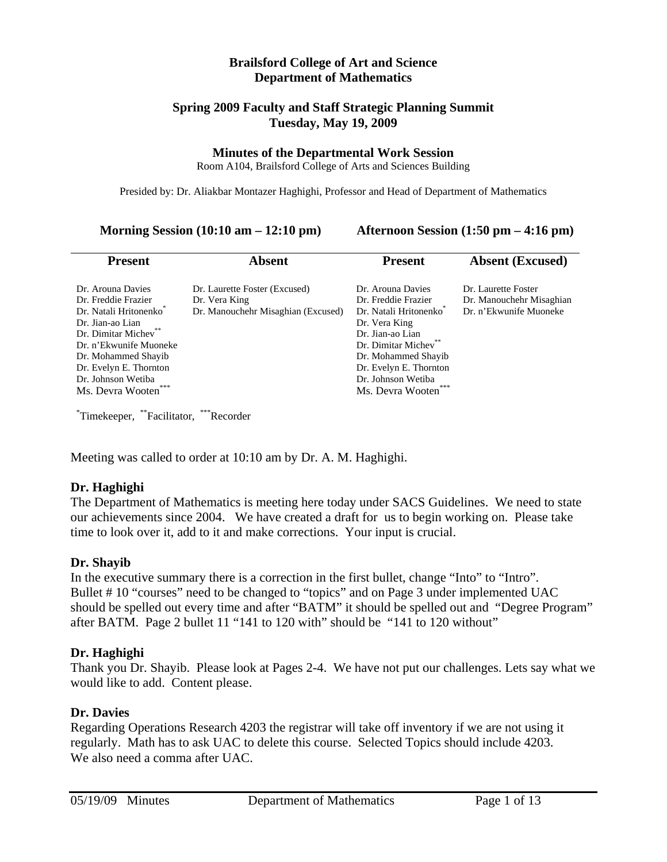#### **Brailsford College of Art and Science Department of Mathematics**

#### **Spring 2009 Faculty and Staff Strategic Planning Summit Tuesday, May 19, 2009**

#### **Minutes of the Departmental Work Session**

Room A104, Brailsford College of Arts and Sciences Building

Presided by: Dr. Aliakbar Montazer Haghighi, Professor and Head of Department of Mathematics

**Morning Session (10:10 am – 12:10 pm) Afternoon Session (1:50 pm – 4:16 pm)**

| <b>Present</b>                                                                                                                                                                                                                                                          | <b>Absent</b>                                                                        | <b>Present</b>                                                                                                                                                                                                                       | <b>Absent (Excused)</b>                                                   |
|-------------------------------------------------------------------------------------------------------------------------------------------------------------------------------------------------------------------------------------------------------------------------|--------------------------------------------------------------------------------------|--------------------------------------------------------------------------------------------------------------------------------------------------------------------------------------------------------------------------------------|---------------------------------------------------------------------------|
| Dr. Arouna Davies<br>Dr. Freddie Frazier<br>Dr. Natali Hritonenko <sup>®</sup><br>Dr. Jian-ao Lian<br>Dr. Dimitar Michev <sup>®</sup><br>Dr. n'Ekwunife Muoneke<br>Dr. Mohammed Shayib<br>Dr. Evelyn E. Thornton<br>Dr. Johnson Wetiba<br>Ms. Devra Wooten <sup>®</sup> | Dr. Laurette Foster (Excused)<br>Dr. Vera King<br>Dr. Manouchehr Misaghian (Excused) | Dr. Arouna Davies<br>Dr. Freddie Frazier<br>Dr. Natali Hritonenko<br>Dr. Vera King<br>Dr. Jian-ao Lian<br>Dr. Dimitar Michev <sup>®</sup><br>Dr. Mohammed Shayib<br>Dr. Evelyn E. Thornton<br>Dr. Johnson Wetiba<br>Ms. Devra Wooten | Dr. Laurette Foster<br>Dr. Manouchehr Misaghian<br>Dr. n'Ekwunife Muoneke |

\* Timekeeper, \*\*Facilitator, \*\*\*Recorder

Meeting was called to order at 10:10 am by Dr. A. M. Haghighi.

## **Dr. Haghighi**

The Department of Mathematics is meeting here today under SACS Guidelines. We need to state our achievements since 2004. We have created a draft for us to begin working on. Please take time to look over it, add to it and make corrections. Your input is crucial.

## **Dr. Shayib**

In the executive summary there is a correction in the first bullet, change "Into" to "Intro". Bullet # 10 "courses" need to be changed to "topics" and on Page 3 under implemented UAC should be spelled out every time and after "BATM" it should be spelled out and "Degree Program" after BATM. Page 2 bullet 11 "141 to 120 with" should be "141 to 120 without"

## **Dr. Haghighi**

Thank you Dr. Shayib. Please look at Pages 2-4. We have not put our challenges. Lets say what we would like to add. Content please.

## **Dr. Davies**

Regarding Operations Research 4203 the registrar will take off inventory if we are not using it regularly. Math has to ask UAC to delete this course. Selected Topics should include 4203. We also need a comma after UAC.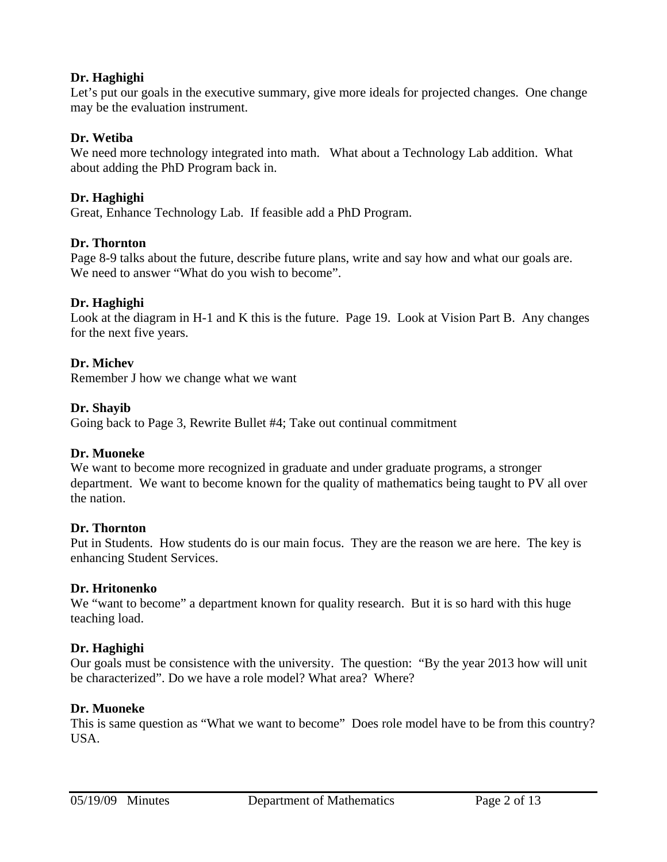## **Dr. Haghighi**

Let's put our goals in the executive summary, give more ideals for projected changes. One change may be the evaluation instrument.

# **Dr. Wetiba**

We need more technology integrated into math. What about a Technology Lab addition. What about adding the PhD Program back in.

## **Dr. Haghighi**

Great, Enhance Technology Lab. If feasible add a PhD Program.

## **Dr. Thornton**

Page 8-9 talks about the future, describe future plans, write and say how and what our goals are. We need to answer "What do you wish to become".

## **Dr. Haghighi**

Look at the diagram in H-1 and K this is the future. Page 19. Look at Vision Part B. Any changes for the next five years.

## **Dr. Michev**

Remember J how we change what we want

## **Dr. Shayib**

Going back to Page 3, Rewrite Bullet #4; Take out continual commitment

## **Dr. Muoneke**

We want to become more recognized in graduate and under graduate programs, a stronger department. We want to become known for the quality of mathematics being taught to PV all over the nation.

## **Dr. Thornton**

Put in Students. How students do is our main focus. They are the reason we are here. The key is enhancing Student Services.

## **Dr. Hritonenko**

We "want to become" a department known for quality research. But it is so hard with this huge teaching load.

# **Dr. Haghighi**

Our goals must be consistence with the university. The question: "By the year 2013 how will unit be characterized". Do we have a role model? What area? Where?

## **Dr. Muoneke**

This is same question as "What we want to become" Does role model have to be from this country? USA.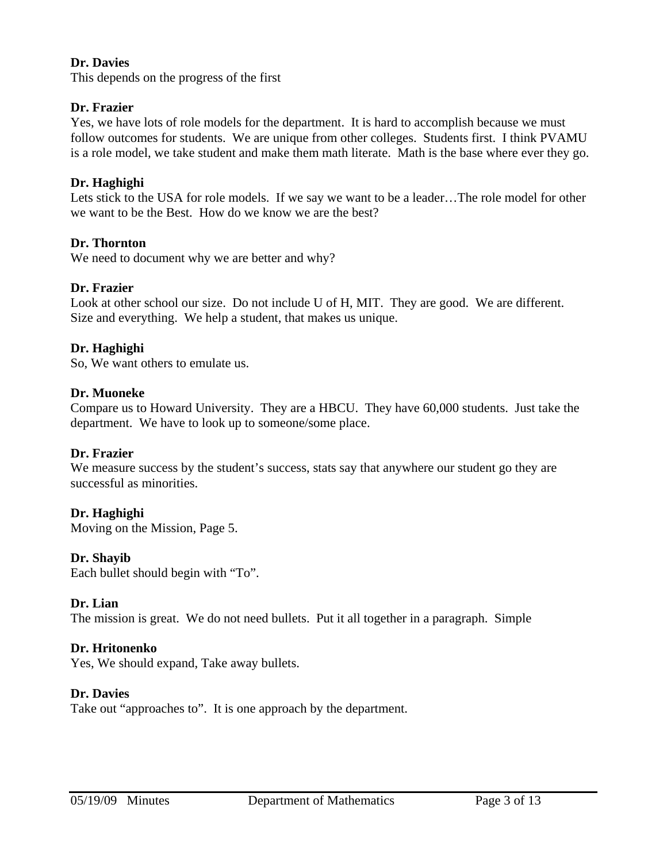## **Dr. Davies**

This depends on the progress of the first

## **Dr. Frazier**

Yes, we have lots of role models for the department. It is hard to accomplish because we must follow outcomes for students. We are unique from other colleges. Students first. I think PVAMU is a role model, we take student and make them math literate. Math is the base where ever they go.

## **Dr. Haghighi**

Lets stick to the USA for role models. If we say we want to be a leader…The role model for other we want to be the Best. How do we know we are the best?

## **Dr. Thornton**

We need to document why we are better and why?

## **Dr. Frazier**

Look at other school our size. Do not include U of H, MIT. They are good. We are different. Size and everything. We help a student, that makes us unique.

## **Dr. Haghighi**

So, We want others to emulate us.

## **Dr. Muoneke**

Compare us to Howard University. They are a HBCU. They have 60,000 students. Just take the department. We have to look up to someone/some place.

## **Dr. Frazier**

We measure success by the student's success, stats say that anywhere our student go they are successful as minorities.

## **Dr. Haghighi**

Moving on the Mission, Page 5.

## **Dr. Shayib**

Each bullet should begin with "To".

## **Dr. Lian**

The mission is great. We do not need bullets. Put it all together in a paragraph. Simple

## **Dr. Hritonenko**

Yes, We should expand, Take away bullets.

## **Dr. Davies**

Take out "approaches to". It is one approach by the department.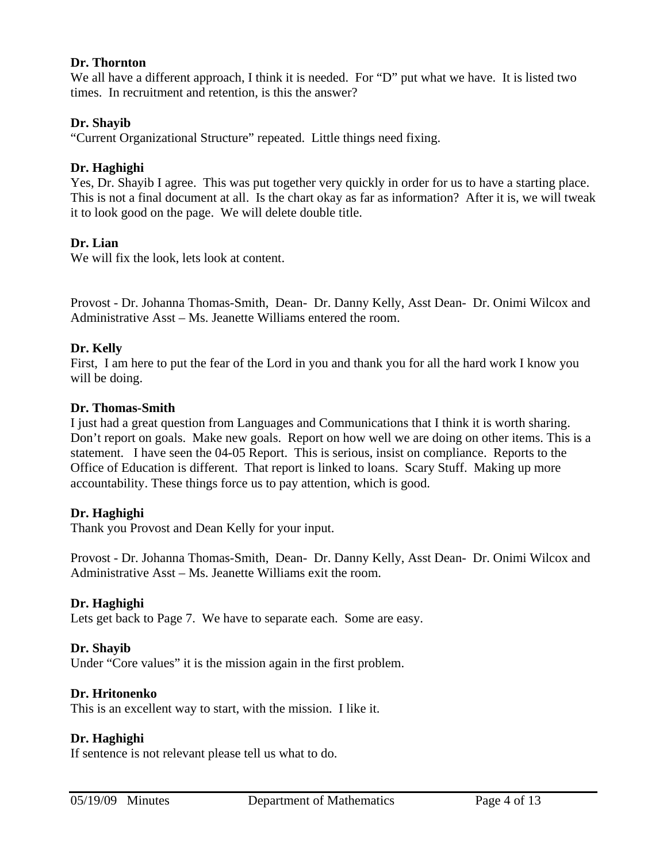#### **Dr. Thornton**

We all have a different approach, I think it is needed. For "D" put what we have. It is listed two times. In recruitment and retention, is this the answer?

## **Dr. Shayib**

"Current Organizational Structure" repeated. Little things need fixing.

## **Dr. Haghighi**

Yes, Dr. Shayib I agree. This was put together very quickly in order for us to have a starting place. This is not a final document at all. Is the chart okay as far as information? After it is, we will tweak it to look good on the page. We will delete double title.

## **Dr. Lian**

We will fix the look, lets look at content.

Provost - Dr. Johanna Thomas-Smith, Dean- Dr. Danny Kelly, Asst Dean- Dr. Onimi Wilcox and Administrative Asst – Ms. Jeanette Williams entered the room.

## **Dr. Kelly**

First, I am here to put the fear of the Lord in you and thank you for all the hard work I know you will be doing.

## **Dr. Thomas-Smith**

I just had a great question from Languages and Communications that I think it is worth sharing. Don't report on goals. Make new goals. Report on how well we are doing on other items. This is a statement. I have seen the 04-05 Report. This is serious, insist on compliance. Reports to the Office of Education is different. That report is linked to loans. Scary Stuff. Making up more accountability. These things force us to pay attention, which is good.

## **Dr. Haghighi**

Thank you Provost and Dean Kelly for your input.

Provost - Dr. Johanna Thomas-Smith, Dean- Dr. Danny Kelly, Asst Dean- Dr. Onimi Wilcox and Administrative Asst – Ms. Jeanette Williams exit the room.

## **Dr. Haghighi**

Lets get back to Page 7. We have to separate each. Some are easy.

## **Dr. Shayib**

Under "Core values" it is the mission again in the first problem.

## **Dr. Hritonenko**

This is an excellent way to start, with the mission. I like it.

## **Dr. Haghighi**

If sentence is not relevant please tell us what to do.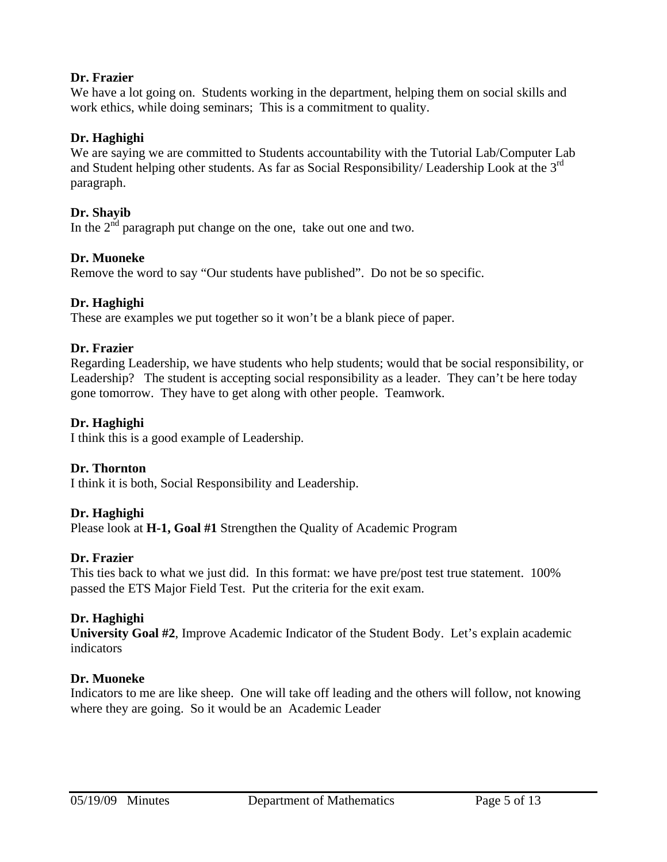## **Dr. Frazier**

We have a lot going on. Students working in the department, helping them on social skills and work ethics, while doing seminars; This is a commitment to quality.

## **Dr. Haghighi**

We are saying we are committed to Students accountability with the Tutorial Lab/Computer Lab and Student helping other students. As far as Social Responsibility/ Leadership Look at the 3rd paragraph.

## **Dr. Shayib**

In the  $2<sup>nd</sup>$  paragraph put change on the one, take out one and two.

## **Dr. Muoneke**

Remove the word to say "Our students have published". Do not be so specific.

## **Dr. Haghighi**

These are examples we put together so it won't be a blank piece of paper.

## **Dr. Frazier**

Regarding Leadership, we have students who help students; would that be social responsibility, or Leadership? The student is accepting social responsibility as a leader. They can't be here today gone tomorrow. They have to get along with other people. Teamwork.

## **Dr. Haghighi**

I think this is a good example of Leadership.

## **Dr. Thornton**

I think it is both, Social Responsibility and Leadership.

## **Dr. Haghighi**

Please look at **H-1, Goal #1** Strengthen the Quality of Academic Program

## **Dr. Frazier**

This ties back to what we just did. In this format: we have pre/post test true statement. 100% passed the ETS Major Field Test. Put the criteria for the exit exam.

# **Dr. Haghighi**

**University Goal #2**, Improve Academic Indicator of the Student Body. Let's explain academic indicators

## **Dr. Muoneke**

Indicators to me are like sheep. One will take off leading and the others will follow, not knowing where they are going. So it would be an Academic Leader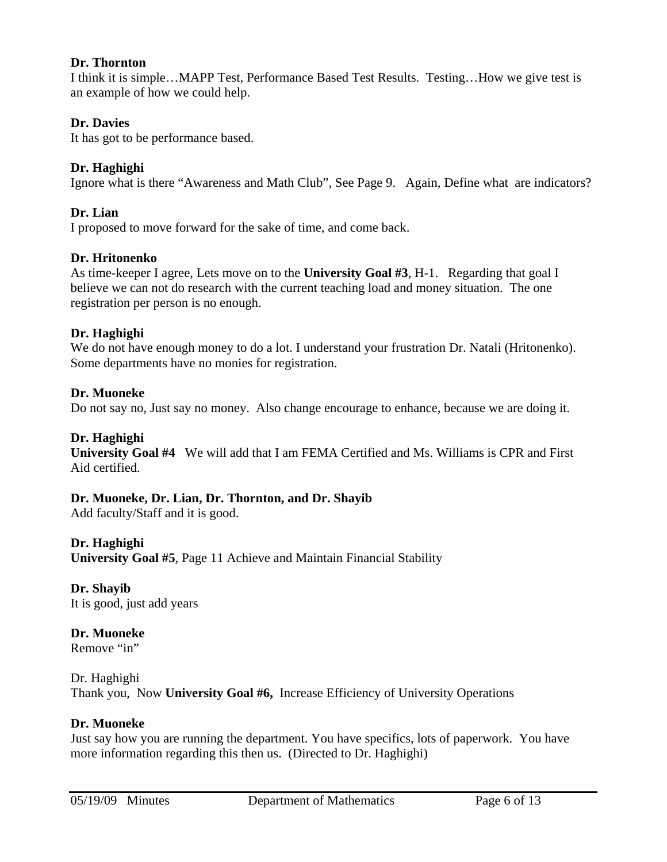#### **Dr. Thornton**

I think it is simple…MAPP Test, Performance Based Test Results. Testing…How we give test is an example of how we could help.

## **Dr. Davies**

It has got to be performance based.

## **Dr. Haghighi**

Ignore what is there "Awareness and Math Club", See Page 9. Again, Define what are indicators?

## **Dr. Lian**

I proposed to move forward for the sake of time, and come back.

## **Dr. Hritonenko**

As time-keeper I agree, Lets move on to the **University Goal #3**, H-1. Regarding that goal I believe we can not do research with the current teaching load and money situation. The one registration per person is no enough.

## **Dr. Haghighi**

We do not have enough money to do a lot. I understand your frustration Dr. Natali (Hritonenko). Some departments have no monies for registration.

## **Dr. Muoneke**

Do not say no, Just say no money. Also change encourage to enhance, because we are doing it.

## **Dr. Haghighi**

**University Goal #4** We will add that I am FEMA Certified and Ms. Williams is CPR and First Aid certified.

## **Dr. Muoneke, Dr. Lian, Dr. Thornton, and Dr. Shayib**

Add faculty/Staff and it is good.

## **Dr. Haghighi**

**University Goal #5**, Page 11 Achieve and Maintain Financial Stability

# **Dr. Shayib**

It is good, just add years

# **Dr. Muoneke**

Remove "in"

## Dr. Haghighi Thank you, Now **University Goal #6,** Increase Efficiency of University Operations

## **Dr. Muoneke**

Just say how you are running the department. You have specifics, lots of paperwork. You have more information regarding this then us. (Directed to Dr. Haghighi)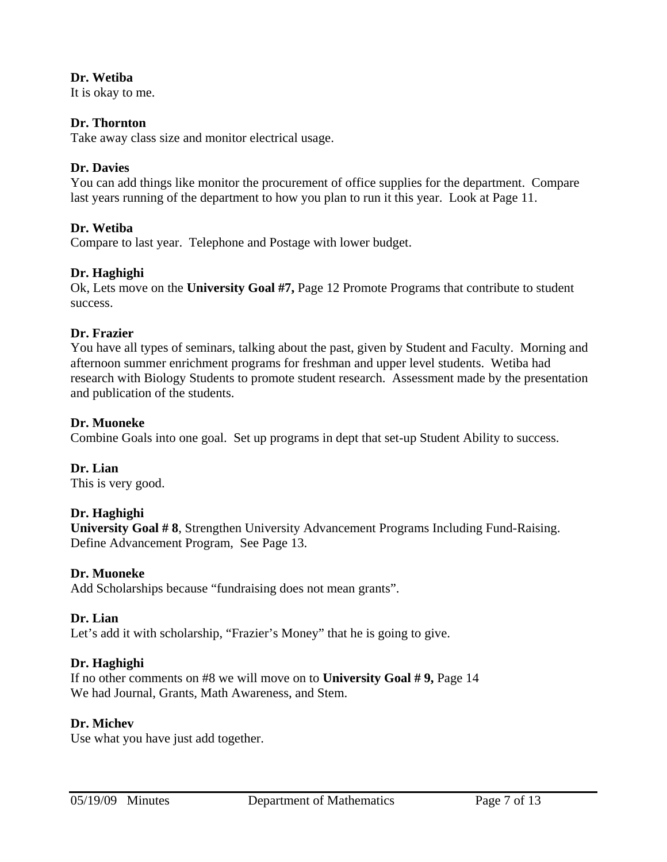## **Dr. Wetiba**

It is okay to me.

# **Dr. Thornton**

Take away class size and monitor electrical usage.

## **Dr. Davies**

You can add things like monitor the procurement of office supplies for the department. Compare last years running of the department to how you plan to run it this year. Look at Page 11.

# **Dr. Wetiba**

Compare to last year. Telephone and Postage with lower budget.

## **Dr. Haghighi**

Ok, Lets move on the **University Goal #7,** Page 12 Promote Programs that contribute to student success.

## **Dr. Frazier**

You have all types of seminars, talking about the past, given by Student and Faculty. Morning and afternoon summer enrichment programs for freshman and upper level students. Wetiba had research with Biology Students to promote student research. Assessment made by the presentation and publication of the students.

## **Dr. Muoneke**

Combine Goals into one goal. Set up programs in dept that set-up Student Ability to success.

**Dr. Lian**  This is very good.

## **Dr. Haghighi**

**University Goal # 8**, Strengthen University Advancement Programs Including Fund-Raising. Define Advancement Program, See Page 13.

## **Dr. Muoneke**

Add Scholarships because "fundraising does not mean grants".

## **Dr. Lian**

Let's add it with scholarship, "Frazier's Money" that he is going to give.

# **Dr. Haghighi**

If no other comments on #8 we will move on to **University Goal # 9,** Page 14 We had Journal, Grants, Math Awareness, and Stem.

## **Dr. Michev**

Use what you have just add together.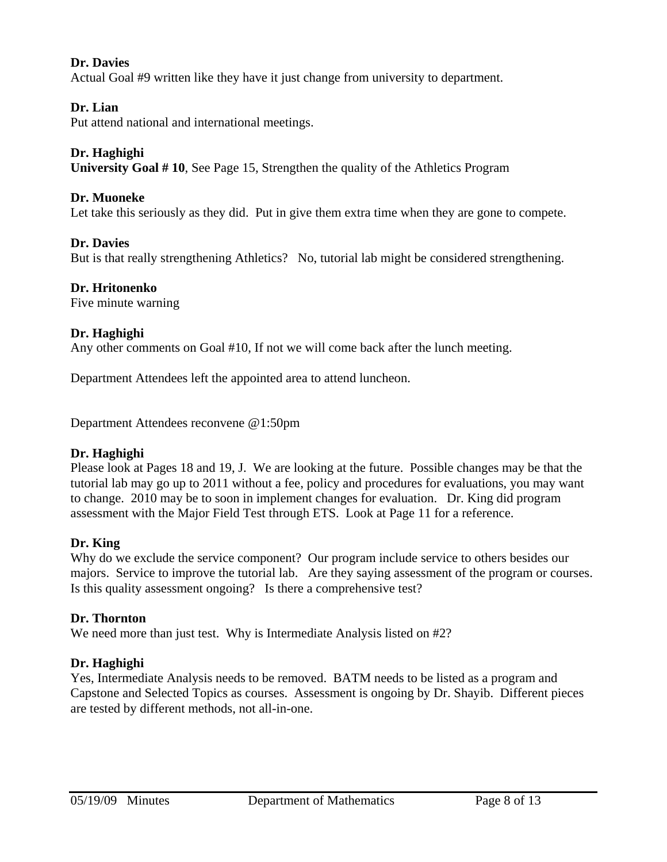## **Dr. Davies**

Actual Goal #9 written like they have it just change from university to department.

## **Dr. Lian**

Put attend national and international meetings.

## **Dr. Haghighi**

**University Goal # 10**, See Page 15, Strengthen the quality of the Athletics Program

## **Dr. Muoneke**

Let take this seriously as they did. Put in give them extra time when they are gone to compete.

## **Dr. Davies**

But is that really strengthening Athletics? No, tutorial lab might be considered strengthening.

## **Dr. Hritonenko**

Five minute warning

## **Dr. Haghighi**

Any other comments on Goal #10, If not we will come back after the lunch meeting.

Department Attendees left the appointed area to attend luncheon.

Department Attendees reconvene @1:50pm

## **Dr. Haghighi**

Please look at Pages 18 and 19, J. We are looking at the future. Possible changes may be that the tutorial lab may go up to 2011 without a fee, policy and procedures for evaluations, you may want to change. 2010 may be to soon in implement changes for evaluation. Dr. King did program assessment with the Major Field Test through ETS. Look at Page 11 for a reference.

## **Dr. King**

Why do we exclude the service component? Our program include service to others besides our majors. Service to improve the tutorial lab. Are they saying assessment of the program or courses. Is this quality assessment ongoing? Is there a comprehensive test?

## **Dr. Thornton**

We need more than just test. Why is Intermediate Analysis listed on #2?

## **Dr. Haghighi**

Yes, Intermediate Analysis needs to be removed. BATM needs to be listed as a program and Capstone and Selected Topics as courses. Assessment is ongoing by Dr. Shayib. Different pieces are tested by different methods, not all-in-one.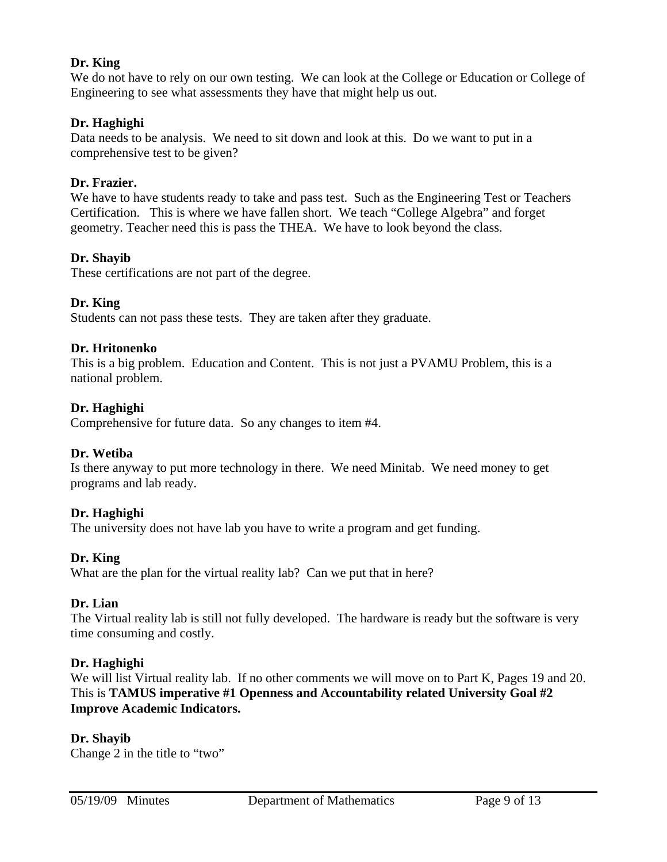## **Dr. King**

We do not have to rely on our own testing. We can look at the College or Education or College of Engineering to see what assessments they have that might help us out.

## **Dr. Haghighi**

Data needs to be analysis. We need to sit down and look at this. Do we want to put in a comprehensive test to be given?

## **Dr. Frazier.**

We have to have students ready to take and pass test. Such as the Engineering Test or Teachers Certification. This is where we have fallen short. We teach "College Algebra" and forget geometry. Teacher need this is pass the THEA. We have to look beyond the class.

## **Dr. Shayib**

These certifications are not part of the degree.

## **Dr. King**

Students can not pass these tests. They are taken after they graduate.

## **Dr. Hritonenko**

This is a big problem. Education and Content. This is not just a PVAMU Problem, this is a national problem.

## **Dr. Haghighi**

Comprehensive for future data. So any changes to item #4.

## **Dr. Wetiba**

Is there anyway to put more technology in there. We need Minitab. We need money to get programs and lab ready.

## **Dr. Haghighi**

The university does not have lab you have to write a program and get funding.

## **Dr. King**

What are the plan for the virtual reality lab? Can we put that in here?

## **Dr. Lian**

The Virtual reality lab is still not fully developed. The hardware is ready but the software is very time consuming and costly.

## **Dr. Haghighi**

We will list Virtual reality lab. If no other comments we will move on to Part K, Pages 19 and 20. This is **TAMUS imperative #1 Openness and Accountability related University Goal #2 Improve Academic Indicators.** 

# **Dr. Shayib**

Change 2 in the title to "two"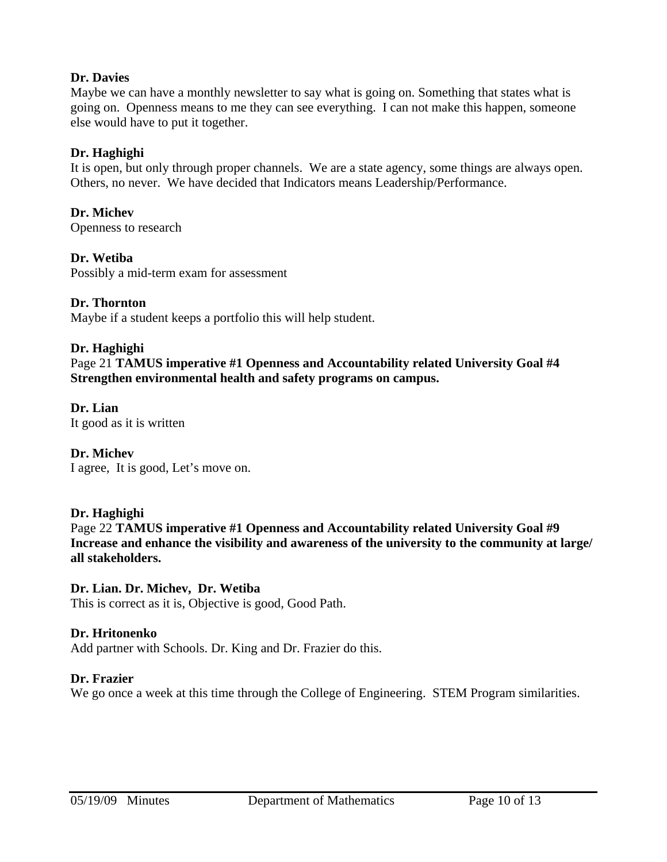## **Dr. Davies**

Maybe we can have a monthly newsletter to say what is going on. Something that states what is going on. Openness means to me they can see everything. I can not make this happen, someone else would have to put it together.

## **Dr. Haghighi**

It is open, but only through proper channels. We are a state agency, some things are always open. Others, no never. We have decided that Indicators means Leadership/Performance.

**Dr. Michev**  Openness to research

**Dr. Wetiba**  Possibly a mid-term exam for assessment

## **Dr. Thornton**

Maybe if a student keeps a portfolio this will help student.

## **Dr. Haghighi**

Page 21 **TAMUS imperative #1 Openness and Accountability related University Goal #4 Strengthen environmental health and safety programs on campus.** 

#### **Dr. Lian**  It good as it is written

## **Dr. Michev**

I agree, It is good, Let's move on.

## **Dr. Haghighi**

Page 22 **TAMUS imperative #1 Openness and Accountability related University Goal #9 Increase and enhance the visibility and awareness of the university to the community at large/ all stakeholders.** 

## **Dr. Lian. Dr. Michev, Dr. Wetiba**

This is correct as it is, Objective is good, Good Path.

## **Dr. Hritonenko**

Add partner with Schools. Dr. King and Dr. Frazier do this.

## **Dr. Frazier**

We go once a week at this time through the College of Engineering. STEM Program similarities.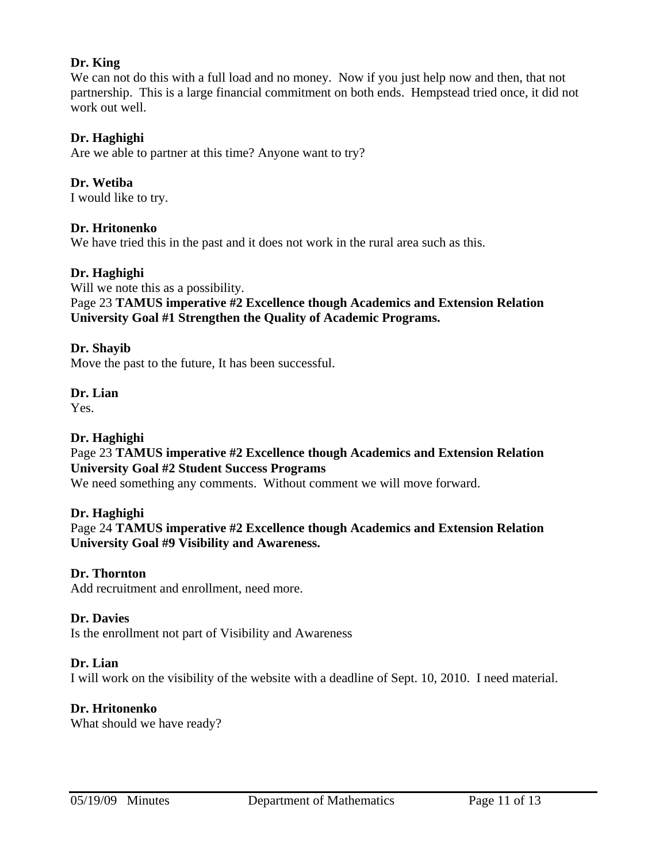## **Dr. King**

We can not do this with a full load and no money. Now if you just help now and then, that not partnership. This is a large financial commitment on both ends. Hempstead tried once, it did not work out well.

## **Dr. Haghighi**

Are we able to partner at this time? Anyone want to try?

**Dr. Wetiba**  I would like to try.

## **Dr. Hritonenko**

We have tried this in the past and it does not work in the rural area such as this.

#### **Dr. Haghighi**

Will we note this as a possibility.

Page 23 **TAMUS imperative #2 Excellence though Academics and Extension Relation University Goal #1 Strengthen the Quality of Academic Programs.** 

#### **Dr. Shayib**

Move the past to the future, It has been successful.

#### **Dr. Lian**

Yes.

## **Dr. Haghighi**

Page 23 **TAMUS imperative #2 Excellence though Academics and Extension Relation University Goal #2 Student Success Programs** 

We need something any comments. Without comment we will move forward.

## **Dr. Haghighi**

Page 24 **TAMUS imperative #2 Excellence though Academics and Extension Relation University Goal #9 Visibility and Awareness.** 

#### **Dr. Thornton**

Add recruitment and enrollment, need more.

#### **Dr. Davies**

Is the enrollment not part of Visibility and Awareness

#### **Dr. Lian**

I will work on the visibility of the website with a deadline of Sept. 10, 2010. I need material.

## **Dr. Hritonenko**

What should we have ready?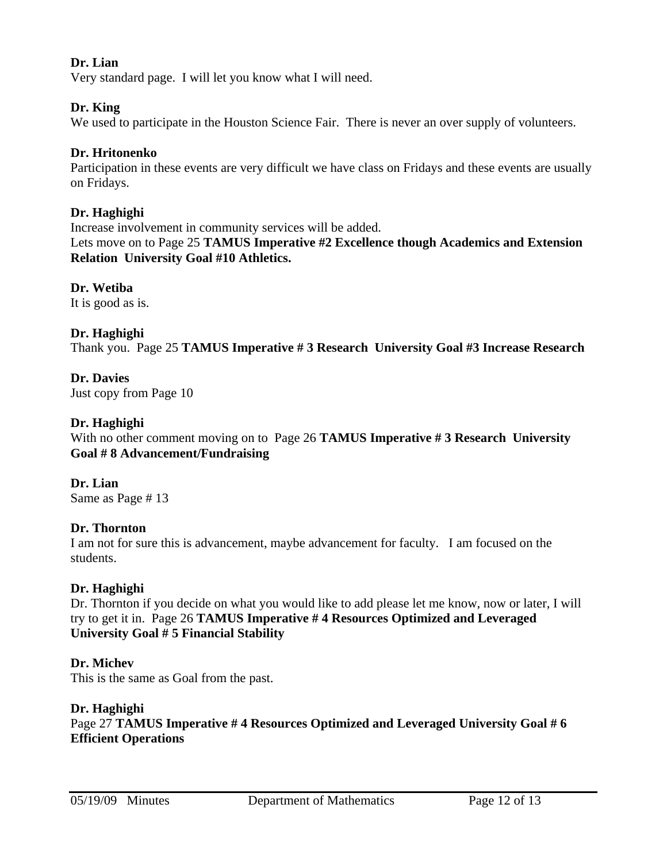## **Dr. Lian**

Very standard page. I will let you know what I will need.

## **Dr. King**

We used to participate in the Houston Science Fair. There is never an over supply of volunteers.

## **Dr. Hritonenko**

Participation in these events are very difficult we have class on Fridays and these events are usually on Fridays.

## **Dr. Haghighi**

Increase involvement in community services will be added. Lets move on to Page 25 **TAMUS Imperative #2 Excellence though Academics and Extension Relation University Goal #10 Athletics.**

**Dr. Wetiba**  It is good as is.

## **Dr. Haghighi**

Thank you. Page 25 **TAMUS Imperative # 3 Research University Goal #3 Increase Research**

## **Dr. Davies**

Just copy from Page 10

## **Dr. Haghighi**

With no other comment moving on to Page 26 **TAMUS Imperative # 3 Research University Goal # 8 Advancement/Fundraising** 

## **Dr. Lian**

Same as Page # 13

## **Dr. Thornton**

I am not for sure this is advancement, maybe advancement for faculty. I am focused on the students.

## **Dr. Haghighi**

Dr. Thornton if you decide on what you would like to add please let me know, now or later, I will try to get it in. Page 26 **TAMUS Imperative # 4 Resources Optimized and Leveraged University Goal # 5 Financial Stability** 

## **Dr. Michev**

This is the same as Goal from the past.

## **Dr. Haghighi**

Page 27 **TAMUS Imperative # 4 Resources Optimized and Leveraged University Goal # 6 Efficient Operations**